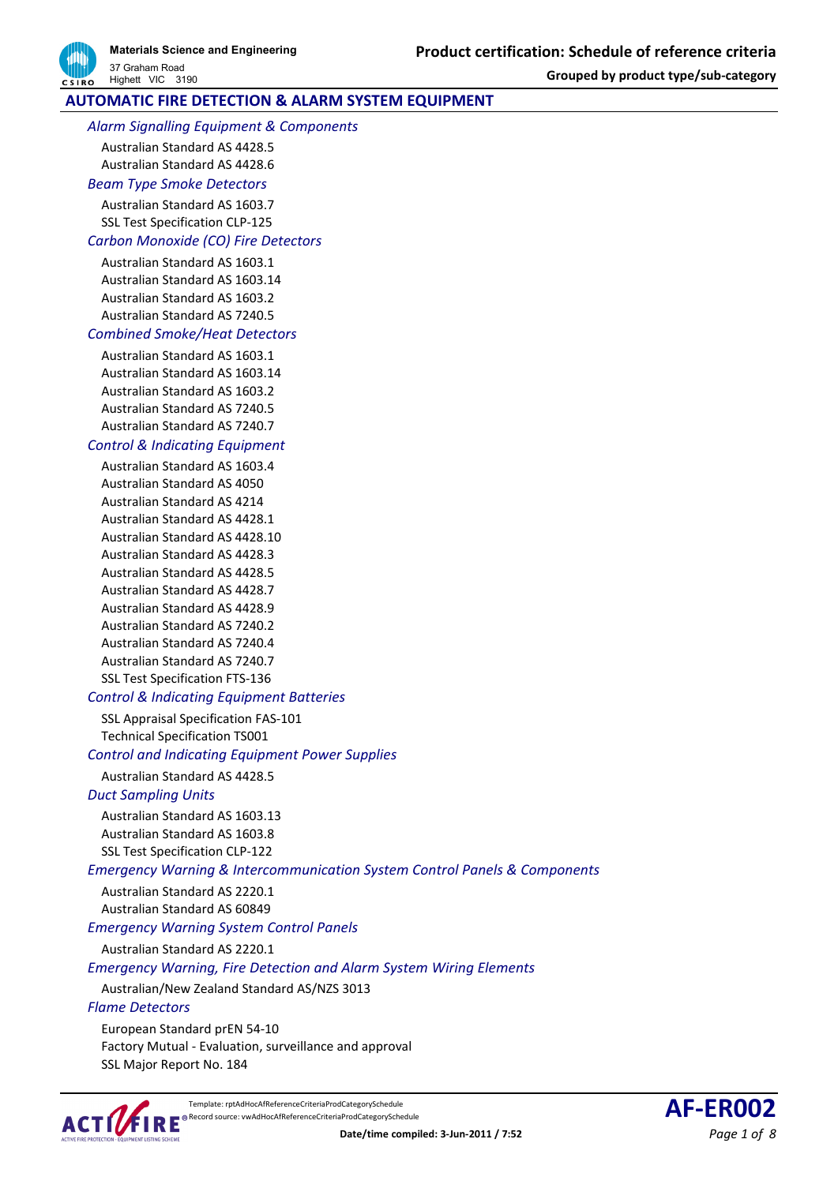# **AUTOMATIC FIRE DETECTION & ALARM SYSTEM EQUIPMENT**

*Alarm Signalling Equipment & Components*

Australian Standard AS 4428.5

Australian Standard AS 4428.6 *Beam Type Smoke Detectors*

Australian Standard AS 1603.7

SSL Test Specification CLP-125

## *Carbon Monoxide (CO) Fire Detectors*

Australian Standard AS 1603.1 Australian Standard AS 1603.14 Australian Standard AS 1603.2 Australian Standard AS 7240.5

### *Combined Smoke/Heat Detectors*

Australian Standard AS 1603.1 Australian Standard AS 1603.14 Australian Standard AS 1603.2 Australian Standard AS 7240.5 Australian Standard AS 7240.7

### *Control & Indicating Equipment*

Australian Standard AS 1603.4 Australian Standard AS 4050 Australian Standard AS 4214 Australian Standard AS 4428.1 Australian Standard AS 4428.10 Australian Standard AS 4428.3 Australian Standard AS 4428.5 Australian Standard AS 4428.7 Australian Standard AS 4428.9 Australian Standard AS 7240.2 Australian Standard AS 7240.4 Australian Standard AS 7240.7 SSL Test Specification FTS-136

## *Control & Indicating Equipment Batteries*

SSL Appraisal Specification FAS-101 Technical Specification TS001

*Control and Indicating Equipment Power Supplies*

Australian Standard AS 4428.5

## *Duct Sampling Units*

Australian Standard AS 1603.13 Australian Standard AS 1603.8 SSL Test Specification CLP-122

## *Emergency Warning & Intercommunication System Control Panels & Components*

Australian Standard AS 2220.1

Australian Standard AS 60849

*Emergency Warning System Control Panels*

Australian Standard AS 2220.1

### *Emergency Warning, Fire Detection and Alarm System Wiring Elements*

Australian/New Zealand Standard AS/NZS 3013

### *Flame Detectors*

European Standard prEN 54-10 Factory Mutual - Evaluation, surveillance and approval SSL Major Report No. 184



Template: rptAdHocAfReferenceCriteriaProdCategorySchedule<br>Record source: vwAdHocAfReferenceCriteriaProdCategorySchedule **AF-ER002**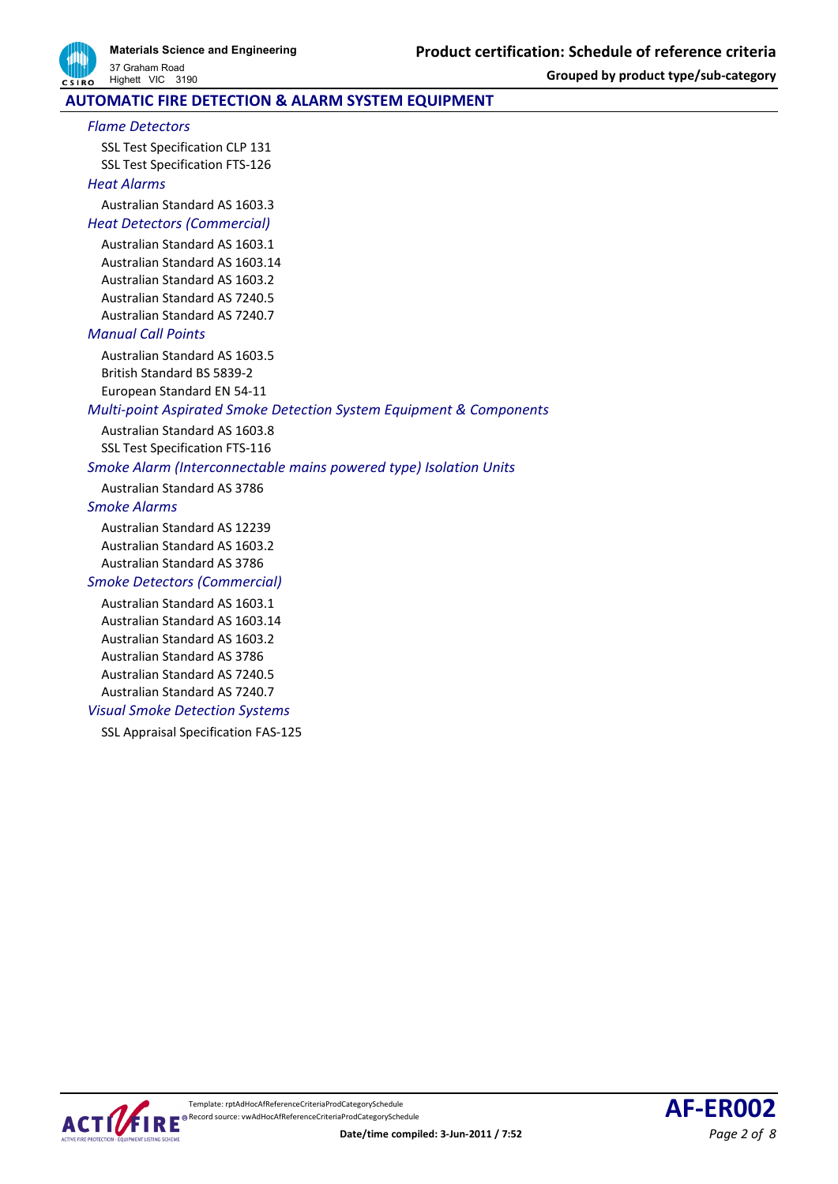

## **AUTOMATIC FIRE DETECTION & ALARM SYSTEM EQUIPMENT**

#### *Flame Detectors*

SSL Test Specification CLP 131 SSL Test Specification FTS-126 *Heat Alarms*

Australian Standard AS 1603.3

# *Heat Detectors (Commercial)*

Australian Standard AS 1603.1 Australian Standard AS 1603.14 Australian Standard AS 1603.2 Australian Standard AS 7240.5 Australian Standard AS 7240.7

### *Manual Call Points*

Australian Standard AS 1603.5 British Standard BS 5839-2 European Standard EN 54-11

### *Multi-point Aspirated Smoke Detection System Equipment & Components*

Australian Standard AS 1603.8 SSL Test Specification FTS-116

### *Smoke Alarm (Interconnectable mains powered type) Isolation Units*

Australian Standard AS 3786

### *Smoke Alarms*

Australian Standard AS 12239 Australian Standard AS 1603.2 Australian Standard AS 3786

### *Smoke Detectors (Commercial)*

Australian Standard AS 1603.1 Australian Standard AS 1603.14 Australian Standard AS 1603.2 Australian Standard AS 3786 Australian Standard AS 7240.5 Australian Standard AS 7240.7

### *Visual Smoke Detection Systems*

SSL Appraisal Specification FAS-125



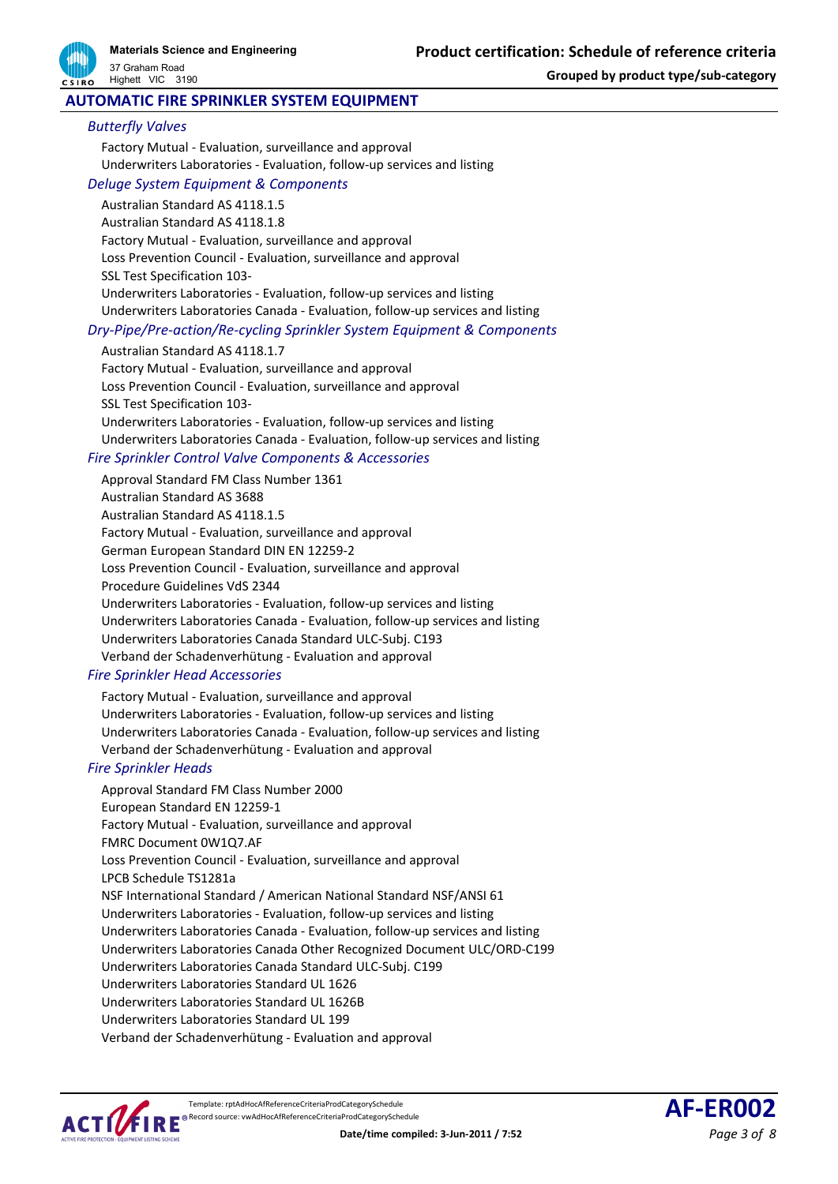

**Materials Science and Engineering** 37 Graham Road

**Grouped by product type/sub-category**

### **AUTOMATIC FIRE SPRINKLER SYSTEM EQUIPMENT**

#### *Butterfly Valves*

Highett VIC 3190

Factory Mutual - Evaluation, surveillance and approval Underwriters Laboratories - Evaluation, follow-up services and listing

## *Deluge System Equipment & Components*

Australian Standard AS 4118.1.5 Australian Standard AS 4118.1.8 Factory Mutual - Evaluation, surveillance and approval Loss Prevention Council - Evaluation, surveillance and approval SSL Test Specification 103- Underwriters Laboratories - Evaluation, follow-up services and listing Underwriters Laboratories Canada - Evaluation, follow-up services and listing

### *Dry-Pipe/Pre-action/Re-cycling Sprinkler System Equipment & Components*

Australian Standard AS 4118.1.7

Factory Mutual - Evaluation, surveillance and approval Loss Prevention Council - Evaluation, surveillance and approval SSL Test Specification 103- Underwriters Laboratories - Evaluation, follow-up services and listing Underwriters Laboratories Canada - Evaluation, follow-up services and listing

### *Fire Sprinkler Control Valve Components & Accessories*

Approval Standard FM Class Number 1361 Australian Standard AS 3688 Australian Standard AS 4118.1.5 Factory Mutual - Evaluation, surveillance and approval German European Standard DIN EN 12259-2 Loss Prevention Council - Evaluation, surveillance and approval Procedure Guidelines VdS 2344 Underwriters Laboratories - Evaluation, follow-up services and listing Underwriters Laboratories Canada - Evaluation, follow-up services and listing Underwriters Laboratories Canada Standard ULC-Subj. C193 Verband der Schadenverhütung - Evaluation and approval

### *Fire Sprinkler Head Accessories*

Factory Mutual - Evaluation, surveillance and approval Underwriters Laboratories - Evaluation, follow-up services and listing Underwriters Laboratories Canada - Evaluation, follow-up services and listing Verband der Schadenverhütung - Evaluation and approval

### *Fire Sprinkler Heads*

Approval Standard FM Class Number 2000 European Standard EN 12259-1 Factory Mutual - Evaluation, surveillance and approval FMRC Document 0W1Q7.AF Loss Prevention Council - Evaluation, surveillance and approval LPCB Schedule TS1281a NSF International Standard / American National Standard NSF/ANSI 61 Underwriters Laboratories - Evaluation, follow-up services and listing Underwriters Laboratories Canada - Evaluation, follow-up services and listing Underwriters Laboratories Canada Other Recognized Document ULC/ORD-C199 Underwriters Laboratories Canada Standard ULC-Subj. C199 Underwriters Laboratories Standard UL 1626 Underwriters Laboratories Standard UL 1626B Underwriters Laboratories Standard UL 199 Verband der Schadenverhütung - Evaluation and approval



Template: rptAdHocAfReferenceCriteriaProdCategorySchedule REPROO2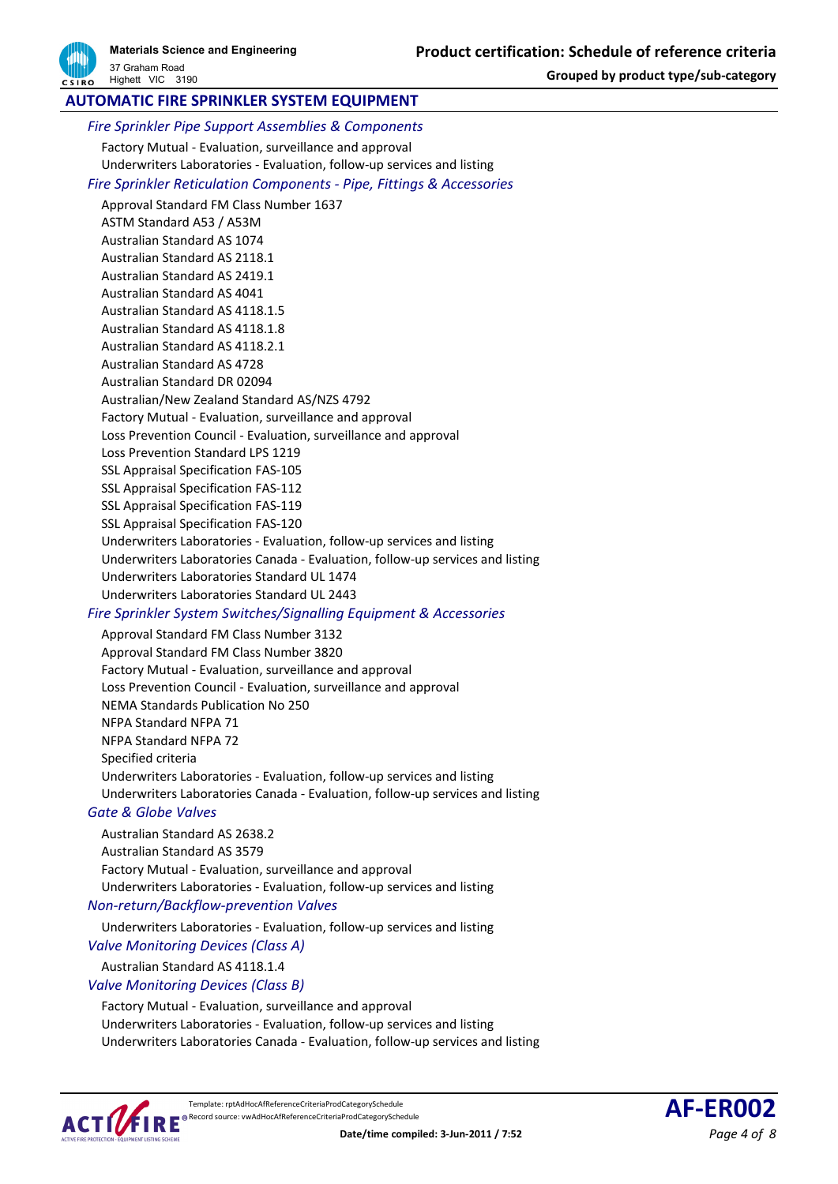## **AUTOMATIC FIRE SPRINKLER SYSTEM EQUIPMENT**

*Fire Sprinkler Pipe Support Assemblies & Components* Factory Mutual - Evaluation, surveillance and approval

Underwriters Laboratories - Evaluation, follow-up services and listing *Fire Sprinkler Reticulation Components - Pipe, Fittings & Accessories* Approval Standard FM Class Number 1637 ASTM Standard A53 / A53M Australian Standard AS 1074 Australian Standard AS 2118.1 Australian Standard AS 2419.1 Australian Standard AS 4041 Australian Standard AS 4118.1.5 Australian Standard AS 4118.1.8 Australian Standard AS 4118.2.1 Australian Standard AS 4728 Australian Standard DR 02094 Australian/New Zealand Standard AS/NZS 4792 Factory Mutual - Evaluation, surveillance and approval Loss Prevention Council - Evaluation, surveillance and approval Loss Prevention Standard LPS 1219 SSL Appraisal Specification FAS-105 SSL Appraisal Specification FAS-112 SSL Appraisal Specification FAS-119 SSL Appraisal Specification FAS-120 Underwriters Laboratories - Evaluation, follow-up services and listing Underwriters Laboratories Canada - Evaluation, follow-up services and listing Underwriters Laboratories Standard UL 1474 Underwriters Laboratories Standard UL 2443

### *Fire Sprinkler System Switches/Signalling Equipment & Accessories*

Approval Standard FM Class Number 3132 Approval Standard FM Class Number 3820 Factory Mutual - Evaluation, surveillance and approval Loss Prevention Council - Evaluation, surveillance and approval NEMA Standards Publication No 250 NFPA Standard NFPA 71 NFPA Standard NFPA 72 Specified criteria Underwriters Laboratories - Evaluation, follow-up services and listing Underwriters Laboratories Canada - Evaluation, follow-up services and listing

### *Gate & Globe Valves*

Australian Standard AS 2638.2 Australian Standard AS 3579 Factory Mutual - Evaluation, surveillance and approval Underwriters Laboratories - Evaluation, follow-up services and listing

### *Non-return/Backflow-prevention Valves*

Underwriters Laboratories - Evaluation, follow-up services and listing

### *Valve Monitoring Devices (Class A)*

Australian Standard AS 4118.1.4

#### *Valve Monitoring Devices (Class B)*

Factory Mutual - Evaluation, surveillance and approval Underwriters Laboratories - Evaluation, follow-up services and listing Underwriters Laboratories Canada - Evaluation, follow-up services and listing



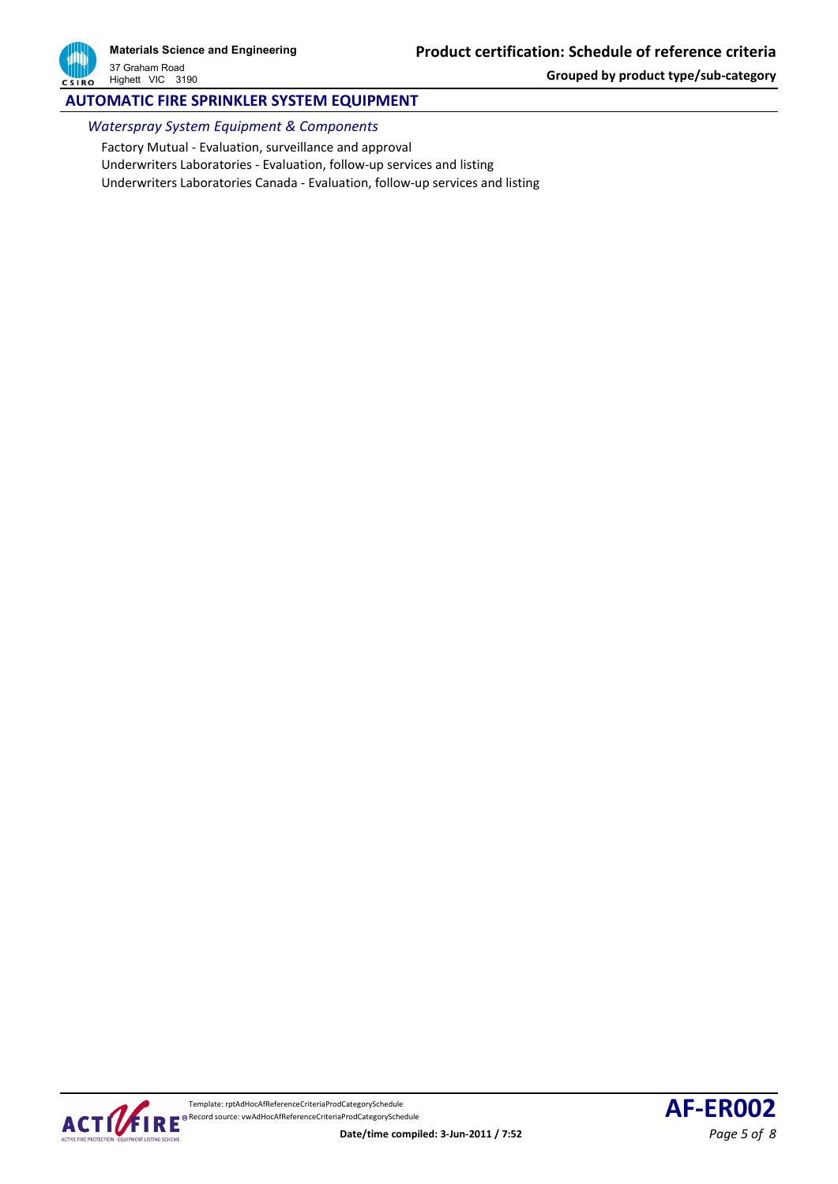

# **AUTOMATIC FIRE SPRINKLER SYSTEM EQUIPMENT**

*Waterspray System Equipment & Components*

Factory Mutual - Evaluation, surveillance and approval Underwriters Laboratories - Evaluation, follow-up services and listing Underwriters Laboratories Canada - Evaluation, follow-up services and listing

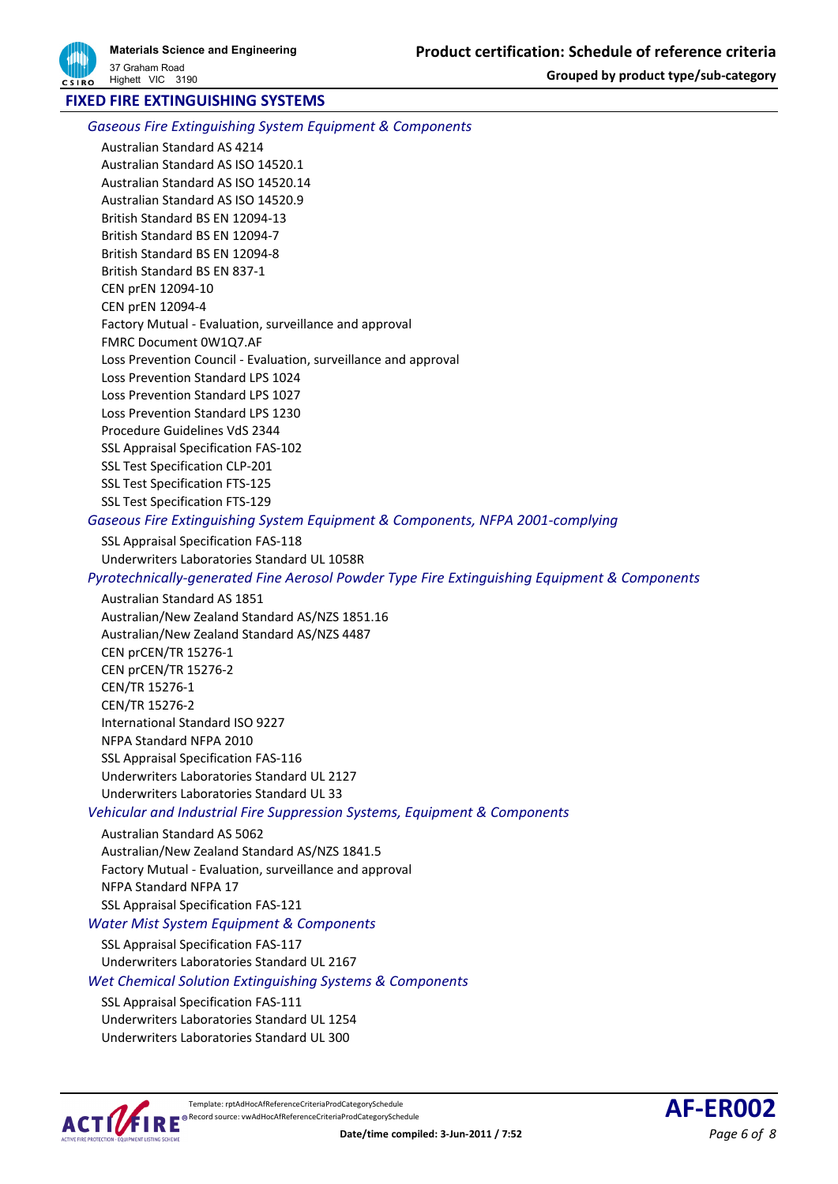## **FIXED FIRE EXTINGUISHING SYSTEMS**

*Gaseous Fire Extinguishing System Equipment & Components*

Australian Standard AS 4214 Australian Standard AS ISO 14520.1 Australian Standard AS ISO 14520.14 Australian Standard AS ISO 14520.9 British Standard BS EN 12094-13 British Standard BS EN 12094-7 British Standard BS EN 12094-8 British Standard BS EN 837-1 CEN prEN 12094-10 CEN prEN 12094-4 Factory Mutual - Evaluation, surveillance and approval FMRC Document 0W1Q7.AF Loss Prevention Council - Evaluation, surveillance and approval Loss Prevention Standard LPS 1024 Loss Prevention Standard LPS 1027 Loss Prevention Standard LPS 1230 Procedure Guidelines VdS 2344 SSL Appraisal Specification FAS-102 SSL Test Specification CLP-201 SSL Test Specification FTS-125 SSL Test Specification FTS-129

*Gaseous Fire Extinguishing System Equipment & Components, NFPA 2001-complying*

SSL Appraisal Specification FAS-118 Underwriters Laboratories Standard UL 1058R

*Pyrotechnically-generated Fine Aerosol Powder Type Fire Extinguishing Equipment & Components*

#### Australian Standard AS 1851

Australian/New Zealand Standard AS/NZS 1851.16 Australian/New Zealand Standard AS/NZS 4487 CEN prCEN/TR 15276-1 CEN prCEN/TR 15276-2 CEN/TR 15276-1 CEN/TR 15276-2 International Standard ISO 9227 NFPA Standard NFPA 2010 SSL Appraisal Specification FAS-116 Underwriters Laboratories Standard UL 2127 Underwriters Laboratories Standard UL 33

*Vehicular and Industrial Fire Suppression Systems, Equipment & Components*

#### Australian Standard AS 5062

Australian/New Zealand Standard AS/NZS 1841.5 Factory Mutual - Evaluation, surveillance and approval NFPA Standard NFPA 17 SSL Appraisal Specification FAS-121

## *Water Mist System Equipment & Components*

SSL Appraisal Specification FAS-117 Underwriters Laboratories Standard UL 2167 *Wet Chemical Solution Extinguishing Systems & Components*

SSL Appraisal Specification FAS-111

Underwriters Laboratories Standard UL 1254 Underwriters Laboratories Standard UL 300



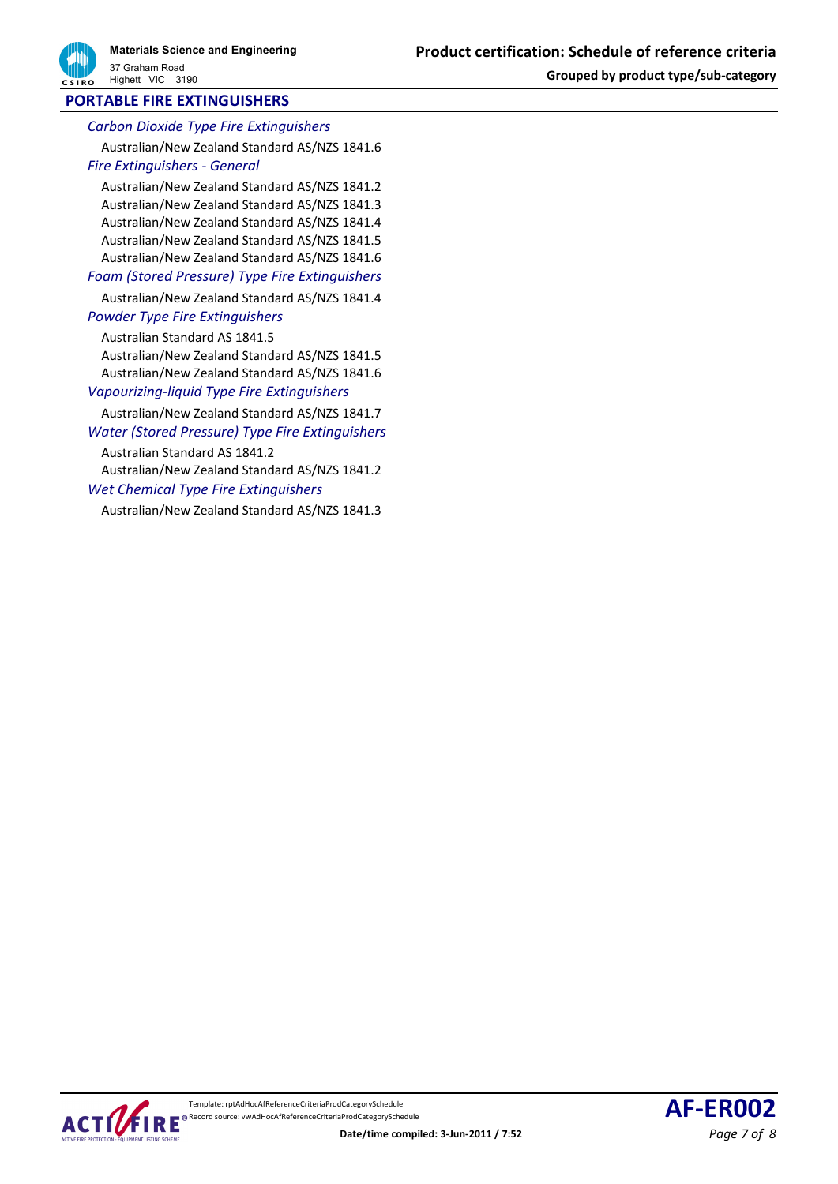## **PORTABLE FIRE EXTINGUISHERS**

*Carbon Dioxide Type Fire Extinguishers* Australian/New Zealand Standard AS/NZS 1841.6 *Fire Extinguishers - General*

Australian/New Zealand Standard AS/NZS 1841.2 Australian/New Zealand Standard AS/NZS 1841.3 Australian/New Zealand Standard AS/NZS 1841.4 Australian/New Zealand Standard AS/NZS 1841.5 Australian/New Zealand Standard AS/NZS 1841.6

*Foam (Stored Pressure) Type Fire Extinguishers*

Australian/New Zealand Standard AS/NZS 1841.4 *Powder Type Fire Extinguishers*

Australian Standard AS 1841.5 Australian/New Zealand Standard AS/NZS 1841.5

Australian/New Zealand Standard AS/NZS 1841.6 *Vapourizing-liquid Type Fire Extinguishers*

Australian/New Zealand Standard AS/NZS 1841.7 *Water (Stored Pressure) Type Fire Extinguishers*

Australian Standard AS 1841.2

Australian/New Zealand Standard AS/NZS 1841.2 *Wet Chemical Type Fire Extinguishers*

Australian/New Zealand Standard AS/NZS 1841.3